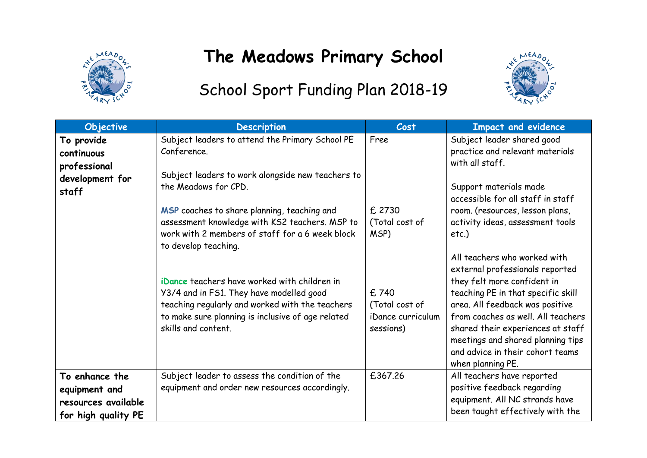

## **The Meadows Primary School**



## School Sport Funding Plan 2018-19

| Objective                                                                     | <b>Description</b>                                                                                                                                                                                                      | Cost                                                     | <b>Impact and evidence</b>                                                                                                                                                                                                                                                                                       |  |
|-------------------------------------------------------------------------------|-------------------------------------------------------------------------------------------------------------------------------------------------------------------------------------------------------------------------|----------------------------------------------------------|------------------------------------------------------------------------------------------------------------------------------------------------------------------------------------------------------------------------------------------------------------------------------------------------------------------|--|
| To provide<br>continuous<br>professional<br>development for<br>staff          | Subject leaders to attend the Primary School PE<br>Conference.<br>Subject leaders to work alongside new teachers to<br>the Meadows for CPD.                                                                             | Free                                                     | Subject leader shared good<br>practice and relevant materials<br>with all staff.<br>Support materials made<br>accessible for all staff in staff                                                                                                                                                                  |  |
|                                                                               | MSP coaches to share planning, teaching and<br>assessment knowledge with KS2 teachers. MSP to<br>work with 2 members of staff for a 6 week block<br>to develop teaching.                                                | £ 2730<br>(Total cost of<br>MSP)                         | room. (resources, lesson plans,<br>activity ideas, assessment tools<br>etc.<br>All teachers who worked with                                                                                                                                                                                                      |  |
|                                                                               | iDance teachers have worked with children in<br>Y3/4 and in FS1. They have modelled good<br>teaching regularly and worked with the teachers<br>to make sure planning is inclusive of age related<br>skills and content. | £740<br>(Total cost of<br>iDance curriculum<br>sessions) | external professionals reported<br>they felt more confident in<br>teaching PE in that specific skill<br>area. All feedback was positive<br>from coaches as well. All teachers<br>shared their experiences at staff<br>meetings and shared planning tips<br>and advice in their cohort teams<br>when planning PE. |  |
| To enhance the<br>equipment and<br>resources available<br>for high quality PE | Subject leader to assess the condition of the<br>equipment and order new resources accordingly.                                                                                                                         | £367.26                                                  | All teachers have reported<br>positive feedback regarding<br>equipment. All NC strands have<br>been taught effectively with the                                                                                                                                                                                  |  |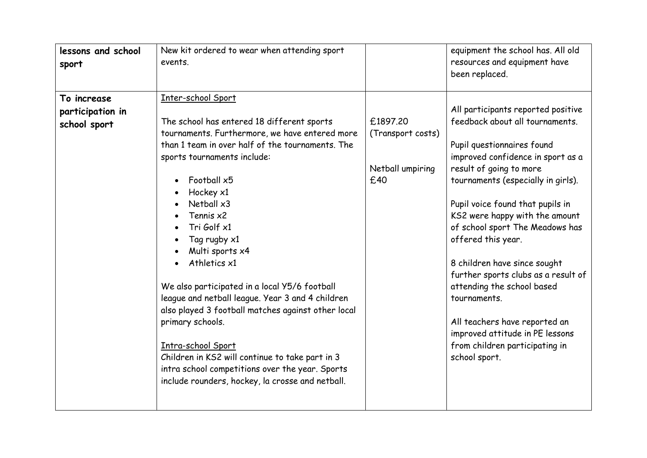| lessons and school<br>sport                     | New kit ordered to wear when attending sport<br>events.                                                                                                                                                                                                                                                                                                                                                                                                                                                                                                                                                                                                                                       |                                                          | equipment the school has. All old<br>resources and equipment have<br>been replaced.                                                                                                                                                                                                                                                                                                                                                                                                                                                                                                  |
|-------------------------------------------------|-----------------------------------------------------------------------------------------------------------------------------------------------------------------------------------------------------------------------------------------------------------------------------------------------------------------------------------------------------------------------------------------------------------------------------------------------------------------------------------------------------------------------------------------------------------------------------------------------------------------------------------------------------------------------------------------------|----------------------------------------------------------|--------------------------------------------------------------------------------------------------------------------------------------------------------------------------------------------------------------------------------------------------------------------------------------------------------------------------------------------------------------------------------------------------------------------------------------------------------------------------------------------------------------------------------------------------------------------------------------|
| To increase<br>participation in<br>school sport | Inter-school Sport<br>The school has entered 18 different sports<br>tournaments. Furthermore, we have entered more<br>than 1 team in over half of the tournaments. The<br>sports tournaments include:<br>Football x5<br>Hockey x1<br>Netball x3<br>Tennis x2<br>Tri Golf x1<br>Tag rugby x1<br>Multi sports x4<br>Athletics x1<br>We also participated in a local Y5/6 football<br>league and netball league. Year 3 and 4 children<br>also played 3 football matches against other local<br>primary schools.<br>Intra-school Sport<br>Children in KS2 will continue to take part in 3<br>intra school competitions over the year. Sports<br>include rounders, hockey, la crosse and netball. | £1897.20<br>(Transport costs)<br>Netball umpiring<br>£40 | All participants reported positive<br>feedback about all tournaments.<br>Pupil questionnaires found<br>improved confidence in sport as a<br>result of going to more<br>tournaments (especially in girls).<br>Pupil voice found that pupils in<br>KS2 were happy with the amount<br>of school sport The Meadows has<br>offered this year.<br>8 children have since sought<br>further sports clubs as a result of<br>attending the school based<br>tournaments.<br>All teachers have reported an<br>improved attitude in PE lessons<br>from children participating in<br>school sport. |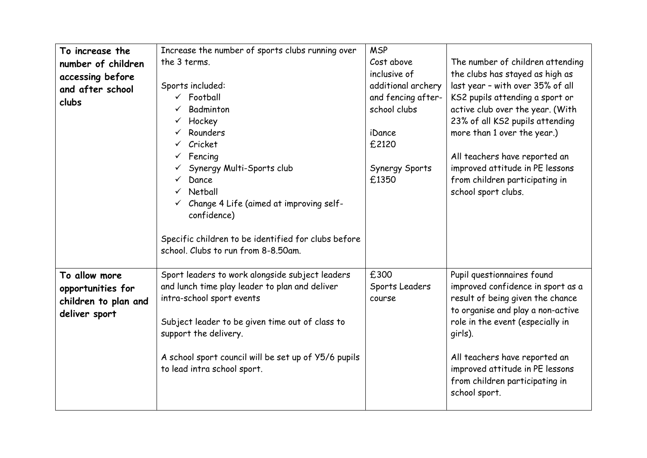| To increase the      | Increase the number of sports clubs running over     | <b>MSP</b>         |                                   |
|----------------------|------------------------------------------------------|--------------------|-----------------------------------|
| number of children   | the 3 terms.                                         | Cost above         | The number of children attending  |
| accessing before     |                                                      | inclusive of       | the clubs has stayed as high as   |
| and after school     | Sports included:                                     | additional archery | last year - with over 35% of all  |
| clubs                | $\checkmark$ Football                                | and fencing after- | KS2 pupils attending a sport or   |
|                      | Badminton                                            | school clubs       | active club over the year. (With  |
|                      | Hockey<br>✓                                          |                    | 23% of all KS2 pupils attending   |
|                      | Rounders                                             | iDance             | more than 1 over the year.)       |
|                      | Cricket<br>$\checkmark$                              | £2120              |                                   |
|                      | Fencing                                              |                    | All teachers have reported an     |
|                      | Synergy Multi-Sports club                            | Synergy Sports     | improved attitude in PE lessons   |
|                      | Dance                                                | £1350              | from children participating in    |
|                      | Netball                                              |                    | school sport clubs.               |
|                      | Change 4 Life (aimed at improving self-              |                    |                                   |
|                      | confidence)                                          |                    |                                   |
|                      |                                                      |                    |                                   |
|                      | Specific children to be identified for clubs before  |                    |                                   |
|                      | school. Clubs to run from 8-8.50am.                  |                    |                                   |
|                      |                                                      |                    |                                   |
| To allow more        | Sport leaders to work alongside subject leaders      | £300               | Pupil questionnaires found        |
| opportunities for    | and lunch time play leader to plan and deliver       | Sports Leaders     | improved confidence in sport as a |
| children to plan and | intra-school sport events                            | course             | result of being given the chance  |
|                      |                                                      |                    | to organise and play a non-active |
| deliver sport        | Subject leader to be given time out of class to      |                    | role in the event (especially in  |
|                      | support the delivery.                                |                    | girls).                           |
|                      |                                                      |                    |                                   |
|                      | A school sport council will be set up of Y5/6 pupils |                    | All teachers have reported an     |
|                      | to lead intra school sport.                          |                    | improved attitude in PE lessons   |
|                      |                                                      |                    | from children participating in    |
|                      |                                                      |                    |                                   |
|                      |                                                      |                    | school sport.                     |
|                      |                                                      |                    |                                   |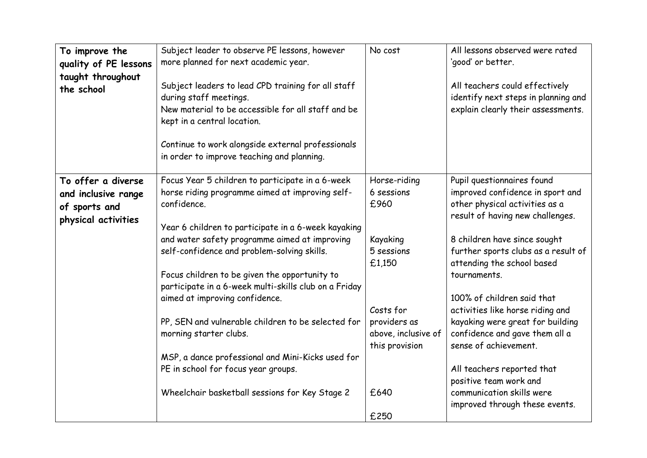| To improve the<br>quality of PE lessons<br>taught throughout<br>the school        | Subject leader to observe PE lessons, however<br>more planned for next academic year.<br>Subject leaders to lead CPD training for all staff<br>during staff meetings.<br>New material to be accessible for all staff and be<br>kept in a central location.<br>Continue to work alongside external professionals<br>in order to improve teaching and planning.                                                                                                                                                                                                                                                                                       | No cost                                                                                                                                              | All lessons observed were rated<br>'good' or better.<br>All teachers could effectively<br>identify next steps in planning and<br>explain clearly their assessments.                                                                                                                                                                                                                                                                                                                                                                               |
|-----------------------------------------------------------------------------------|-----------------------------------------------------------------------------------------------------------------------------------------------------------------------------------------------------------------------------------------------------------------------------------------------------------------------------------------------------------------------------------------------------------------------------------------------------------------------------------------------------------------------------------------------------------------------------------------------------------------------------------------------------|------------------------------------------------------------------------------------------------------------------------------------------------------|---------------------------------------------------------------------------------------------------------------------------------------------------------------------------------------------------------------------------------------------------------------------------------------------------------------------------------------------------------------------------------------------------------------------------------------------------------------------------------------------------------------------------------------------------|
| To offer a diverse<br>and inclusive range<br>of sports and<br>physical activities | Focus Year 5 children to participate in a 6-week<br>horse riding programme aimed at improving self-<br>confidence.<br>Year 6 children to participate in a 6-week kayaking<br>and water safety programme aimed at improving<br>self-confidence and problem-solving skills.<br>Focus children to be given the opportunity to<br>participate in a 6-week multi-skills club on a Friday<br>aimed at improving confidence.<br>PP, SEN and vulnerable children to be selected for<br>morning starter clubs.<br>MSP, a dance professional and Mini-Kicks used for<br>PE in school for focus year groups.<br>Wheelchair basketball sessions for Key Stage 2 | Horse-riding<br>6 sessions<br>£960<br>Kayaking<br>5 sessions<br>£1,150<br>Costs for<br>providers as<br>above, inclusive of<br>this provision<br>£640 | Pupil questionnaires found<br>improved confidence in sport and<br>other physical activities as a<br>result of having new challenges.<br>8 children have since sought<br>further sports clubs as a result of<br>attending the school based<br>tournaments.<br>100% of children said that<br>activities like horse riding and<br>kayaking were great for building<br>confidence and gave them all a<br>sense of achievement.<br>All teachers reported that<br>positive team work and<br>communication skills were<br>improved through these events. |
|                                                                                   |                                                                                                                                                                                                                                                                                                                                                                                                                                                                                                                                                                                                                                                     | £250                                                                                                                                                 |                                                                                                                                                                                                                                                                                                                                                                                                                                                                                                                                                   |